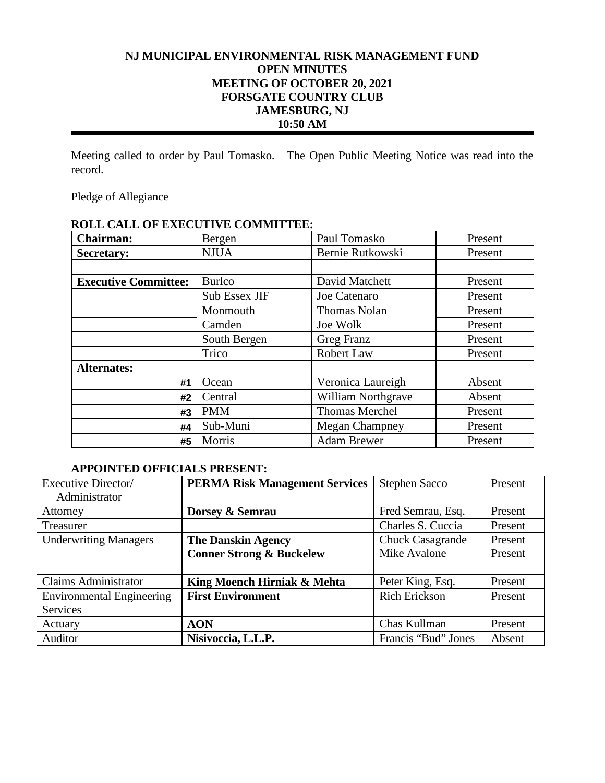# **NJ MUNICIPAL ENVIRONMENTAL RISK MANAGEMENT FUND OPEN MINUTES MEETING OF OCTOBER 20, 2021 FORSGATE COUNTRY CLUB JAMESBURG, NJ 10:50 AM**

Meeting called to order by Paul Tomasko. The Open Public Meeting Notice was read into the record.

Pledge of Allegiance

| <b>Chairman:</b>            | Bergen        | Paul Tomasko          | Present |
|-----------------------------|---------------|-----------------------|---------|
| <b>Secretary:</b>           | <b>NJUA</b>   | Bernie Rutkowski      | Present |
|                             |               |                       |         |
| <b>Executive Committee:</b> | <b>Burlco</b> | David Matchett        | Present |
|                             | Sub Essex JIF | Joe Catenaro          | Present |
|                             | Monmouth      | <b>Thomas Nolan</b>   | Present |
|                             | Camden        | Joe Wolk              | Present |
|                             | South Bergen  | Greg Franz            | Present |
|                             | Trico         | Robert Law            | Present |
| <b>Alternates:</b>          |               |                       |         |
| #1                          | Ocean         | Veronica Laureigh     | Absent  |
| #2                          | Central       | William Northgrave    | Absent  |
| #3                          | <b>PMM</b>    | <b>Thomas Merchel</b> | Present |
| #4                          | Sub-Muni      | <b>Megan Champney</b> | Present |
| #5                          | Morris        | <b>Adam Brewer</b>    | Present |

# **ROLL CALL OF EXECUTIVE COMMITTEE:**

## **APPOINTED OFFICIALS PRESENT:**

| Executive Director/              | <b>PERMA Risk Management Services</b> | <b>Stephen Sacco</b>    | Present |
|----------------------------------|---------------------------------------|-------------------------|---------|
| Administrator                    |                                       |                         |         |
| Attorney                         | Dorsey & Semrau                       | Fred Semrau, Esq.       | Present |
| Treasurer                        |                                       | Charles S. Cuccia       | Present |
| <b>Underwriting Managers</b>     | <b>The Danskin Agency</b>             | <b>Chuck Casagrande</b> | Present |
|                                  | <b>Conner Strong &amp; Buckelew</b>   | Mike Avalone            | Present |
|                                  |                                       |                         |         |
| <b>Claims Administrator</b>      | King Moench Hirniak & Mehta           | Peter King, Esq.        | Present |
| <b>Environmental Engineering</b> | <b>First Environment</b>              | <b>Rich Erickson</b>    | Present |
| Services                         |                                       |                         |         |
| Actuary                          | <b>AON</b>                            | Chas Kullman            | Present |
| Auditor                          | Nisivoccia, L.L.P.                    | Francis "Bud" Jones     | Absent  |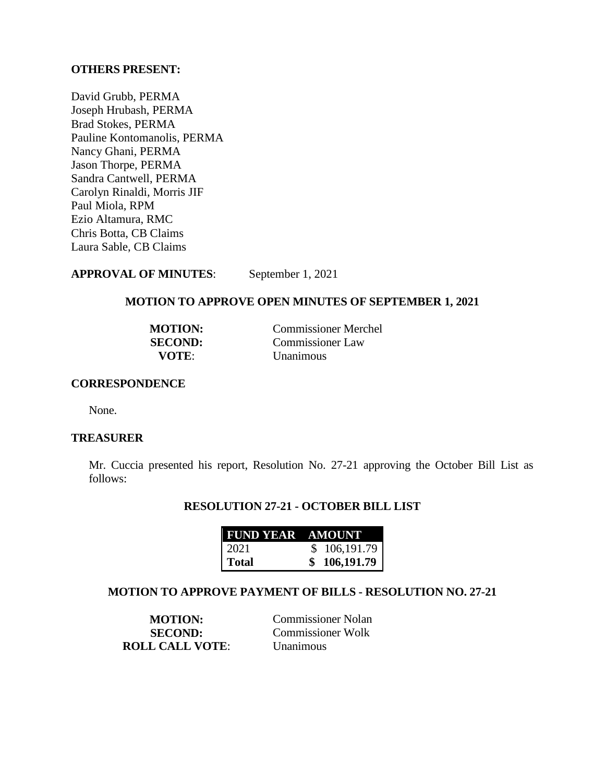## **OTHERS PRESENT:**

David Grubb, PERMA Joseph Hrubash, PERMA Brad Stokes, PERMA Pauline Kontomanolis, PERMA Nancy Ghani, PERMA Jason Thorpe, PERMA Sandra Cantwell, PERMA Carolyn Rinaldi, Morris JIF Paul Miola, RPM Ezio Altamura, RMC Chris Botta, CB Claims Laura Sable, CB Claims

**APPROVAL OF MINUTES**: September 1, 2021

# **MOTION TO APPROVE OPEN MINUTES OF SEPTEMBER 1, 2021**

| <b>MOTION:</b> | <b>Commissioner Merchel</b> |
|----------------|-----------------------------|
| <b>SECOND:</b> | Commissioner Law            |
| <b>VOTE:</b>   | <b>Unanimous</b>            |

### **CORRESPONDENCE**

None.

### **TREASURER**

Mr. Cuccia presented his report, Resolution No. 27-21 approving the October Bill List as follows:

## **RESOLUTION 27-21 - OCTOBER BILL LIST**

| <b>FUND YEAR AMOUNT</b> |              |
|-------------------------|--------------|
| 2021                    | \$106,191.79 |
| <b>Total</b>            | 106,191.79   |

#### **MOTION TO APPROVE PAYMENT OF BILLS - RESOLUTION NO. 27-21**

**ROLL CALL VOTE**: Unanimous

**MOTION:** Commissioner Nolan **SECOND:** Commissioner Wolk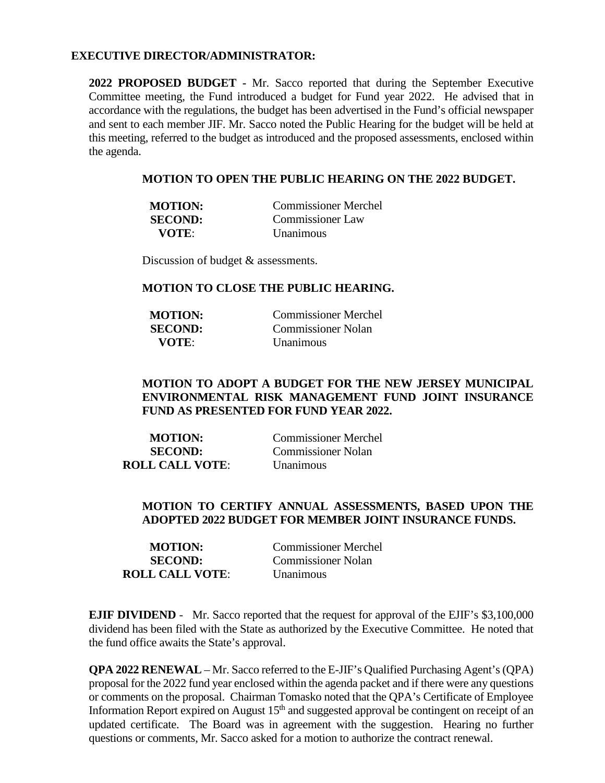#### **EXECUTIVE DIRECTOR/ADMINISTRATOR:**

**2022 PROPOSED BUDGET -** Mr. Sacco reported that during the September Executive Committee meeting, the Fund introduced a budget for Fund year 2022. He advised that in accordance with the regulations, the budget has been advertised in the Fund's official newspaper and sent to each member JIF. Mr. Sacco noted the Public Hearing for the budget will be held at this meeting, referred to the budget as introduced and the proposed assessments, enclosed within the agenda.

#### **MOTION TO OPEN THE PUBLIC HEARING ON THE 2022 BUDGET.**

| <b>MOTION:</b> | Commissioner Merchel    |
|----------------|-------------------------|
| <b>SECOND:</b> | <b>Commissioner Law</b> |
| VOTE:          | <i>Unanimous</i>        |

Discussion of budget & assessments.

#### **MOTION TO CLOSE THE PUBLIC HEARING.**

| <b>MOTION:</b> | Commissioner Merchel      |
|----------------|---------------------------|
| <b>SECOND:</b> | <b>Commissioner Nolan</b> |
| <b>VOTE:</b>   | <b>Unanimous</b>          |

## **MOTION TO ADOPT A BUDGET FOR THE NEW JERSEY MUNICIPAL ENVIRONMENTAL RISK MANAGEMENT FUND JOINT INSURANCE FUND AS PRESENTED FOR FUND YEAR 2022.**

| <b>MOTION:</b>         | <b>Commissioner Merchel</b> |
|------------------------|-----------------------------|
| <b>SECOND:</b>         | <b>Commissioner Nolan</b>   |
| <b>ROLL CALL VOTE:</b> | <b>Unanimous</b>            |

## **MOTION TO CERTIFY ANNUAL ASSESSMENTS, BASED UPON THE ADOPTED 2022 BUDGET FOR MEMBER JOINT INSURANCE FUNDS.**

| <b>MOTION:</b>         | <b>Commissioner Merchel</b> |
|------------------------|-----------------------------|
| <b>SECOND:</b>         | <b>Commissioner Nolan</b>   |
| <b>ROLL CALL VOTE:</b> | <b>Unanimous</b>            |

**EJIF DIVIDEND** - Mr. Sacco reported that the request for approval of the EJIF's \$3,100,000 dividend has been filed with the State as authorized by the Executive Committee. He noted that the fund office awaits the State's approval.

**QPA 2022 RENEWAL** – Mr. Sacco referred to the E-JIF's Qualified Purchasing Agent's (QPA) proposal for the 2022 fund year enclosed within the agenda packet and if there were any questions or comments on the proposal. Chairman Tomasko noted that the QPA's Certificate of Employee Information Report expired on August  $15<sup>th</sup>$  and suggested approval be contingent on receipt of an updated certificate. The Board was in agreement with the suggestion. Hearing no further questions or comments, Mr. Sacco asked for a motion to authorize the contract renewal.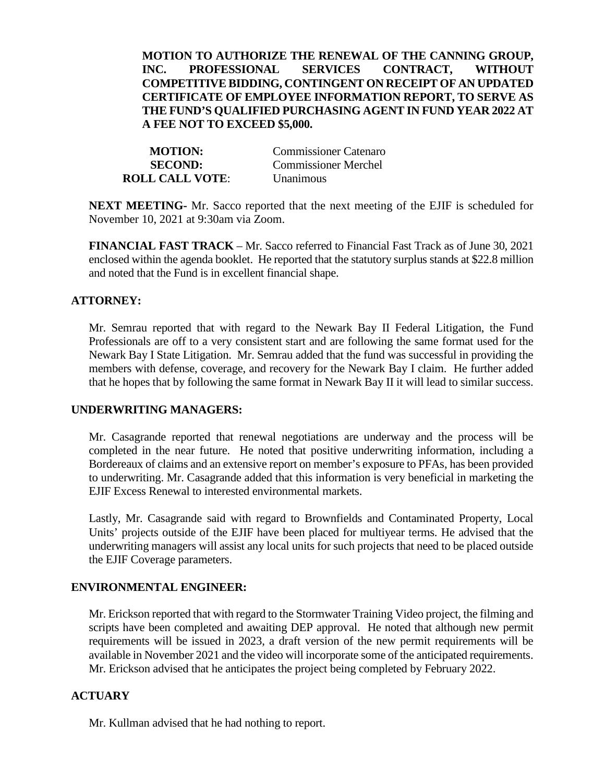## **MOTION TO AUTHORIZE THE RENEWAL OF THE CANNING GROUP, INC. PROFESSIONAL SERVICES CONTRACT, WITHOUT COMPETITIVE BIDDING, CONTINGENT ON RECEIPT OF AN UPDATED CERTIFICATE OF EMPLOYEE INFORMATION REPORT, TO SERVE AS THE FUND'S QUALIFIED PURCHASING AGENT IN FUND YEAR 2022 AT A FEE NOT TO EXCEED \$5,000.**

**ROLL CALL VOTE**: Unanimous

**MOTION:** Commissioner Catenaro **SECOND:** Commissioner Merchel

**NEXT MEETING-** Mr. Sacco reported that the next meeting of the EJIF is scheduled for November 10, 2021 at 9:30am via Zoom.

**FINANCIAL FAST TRACK** – Mr. Sacco referred to Financial Fast Track as of June 30, 2021 enclosed within the agenda booklet. He reported that the statutory surplus stands at \$22.8 million and noted that the Fund is in excellent financial shape.

## **ATTORNEY:**

Mr. Semrau reported that with regard to the Newark Bay II Federal Litigation, the Fund Professionals are off to a very consistent start and are following the same format used for the Newark Bay I State Litigation. Mr. Semrau added that the fund was successful in providing the members with defense, coverage, and recovery for the Newark Bay I claim. He further added that he hopes that by following the same format in Newark Bay II it will lead to similar success.

## **UNDERWRITING MANAGERS:**

Mr. Casagrande reported that renewal negotiations are underway and the process will be completed in the near future. He noted that positive underwriting information, including a Bordereaux of claims and an extensive report on member's exposure to PFAs, has been provided to underwriting. Mr. Casagrande added that this information is very beneficial in marketing the EJIF Excess Renewal to interested environmental markets.

Lastly, Mr. Casagrande said with regard to Brownfields and Contaminated Property, Local Units' projects outside of the EJIF have been placed for multiyear terms. He advised that the underwriting managers will assist any local units for such projects that need to be placed outside the EJIF Coverage parameters.

# **ENVIRONMENTAL ENGINEER:**

Mr. Erickson reported that with regard to the Stormwater Training Video project, the filming and scripts have been completed and awaiting DEP approval. He noted that although new permit requirements will be issued in 2023, a draft version of the new permit requirements will be available in November 2021 and the video will incorporate some of the anticipated requirements. Mr. Erickson advised that he anticipates the project being completed by February 2022.

# **ACTUARY**

Mr. Kullman advised that he had nothing to report.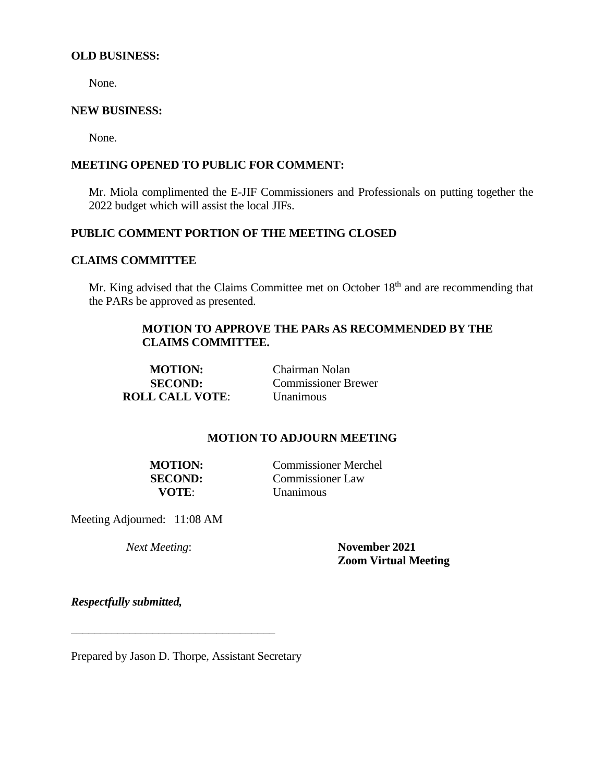#### **OLD BUSINESS:**

None.

#### **NEW BUSINESS:**

None.

## **MEETING OPENED TO PUBLIC FOR COMMENT:**

Mr. Miola complimented the E-JIF Commissioners and Professionals on putting together the 2022 budget which will assist the local JIFs.

## **PUBLIC COMMENT PORTION OF THE MEETING CLOSED**

## **CLAIMS COMMITTEE**

Mr. King advised that the Claims Committee met on October 18<sup>th</sup> and are recommending that the PARs be approved as presented.

## **MOTION TO APPROVE THE PARs AS RECOMMENDED BY THE CLAIMS COMMITTEE.**

**MOTION:** Chairman Nolan **ROLL CALL VOTE:** 

**SECOND:** Commissioner Brewer<br> **L CALL VOTE:** Unanimous

### **MOTION TO ADJOURN MEETING**

**MOTION:** Commissioner Merchel **SECOND:** Commissioner Law **VOTE**: Unanimous

Meeting Adjourned: 11:08 AM

*Next Meeting*: **November 2021 Zoom Virtual Meeting**

*Respectfully submitted,*

Prepared by Jason D. Thorpe, Assistant Secretary

\_\_\_\_\_\_\_\_\_\_\_\_\_\_\_\_\_\_\_\_\_\_\_\_\_\_\_\_\_\_\_\_\_\_\_